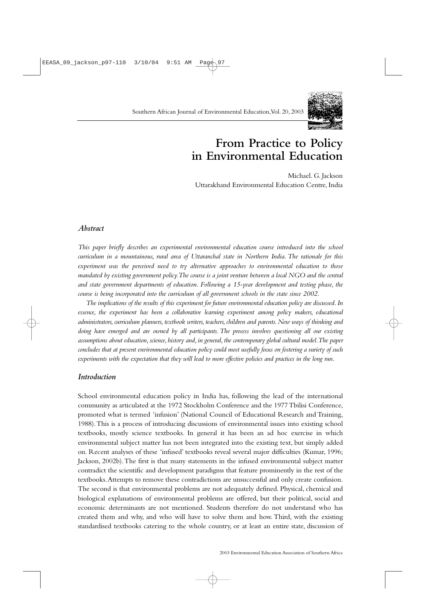

# **From Practice to Policy in Environmental Education**

Michael. G. Jackson Uttarakhand Environmental Education Centre, India

# *Abstract*

*This paper briefly describes an experimental environmental education course introduced into the school curriculum in a mountainous, rural area of Uttaranchal state in Northern India. The rationale for this experiment was the perceived need to try alternative approaches to environmental education to those mandated by existing government policy.The course is a joint venture between a local NGO and the central and state government departments of education. Following a 15-year development and testing phase, the course is being incorporated into the curriculum of all government schools in the state since 2002.*

*The implications of the results of this experiment for future environmental education policy are discussed.In essence, the experiment has been a collaborative learning experiment among policy makers, educational administrators, curriculum planners, textbook writers, teachers, children and parents. New ways of thinking and doing have emerged and are owned by all participants. The process involves questioning all our existing assumptions about education,science,history and,in general,the contemporary global cultural model.The paper concludes that at present environmental education policy could most usefully focus on fostering a variety of such experiments with the expectation that they will lead to more effective policies and practices in the long run.*

## *Introduction*

School environmental education policy in India has, following the lead of the international community as articulated at the 1972 Stockholm Conference and the 1977 Tbilisi Conference, promoted what is termed 'infusion' (National Council of Educational Research and Training, 1988).This is a process of introducing discussions of environmental issues into existing school textbooks, mostly science textbooks. In general it has been an ad hoc exercise in which environmental subject matter has not been integrated into the existing text, but simply added on. Recent analyses of these 'infused' textbooks reveal several major difficulties (Kumar, 1996; Jackson, 2002b).The first is that many statements in the infused environmental subject matter contradict the scientific and development paradigms that feature prominently in the rest of the textbooks.Attempts to remove these contradictions are unsuccessful and only create confusion. The second is that environmental problems are not adequately defined. Physical, chemical and biological explanations of environmental problems are offered, but their political, social and economic determinants are not mentioned. Students therefore do not understand who has created them and why, and who will have to solve them and how. Third, with the existing standardised textbooks catering to the whole country, or at least an entire state, discussion of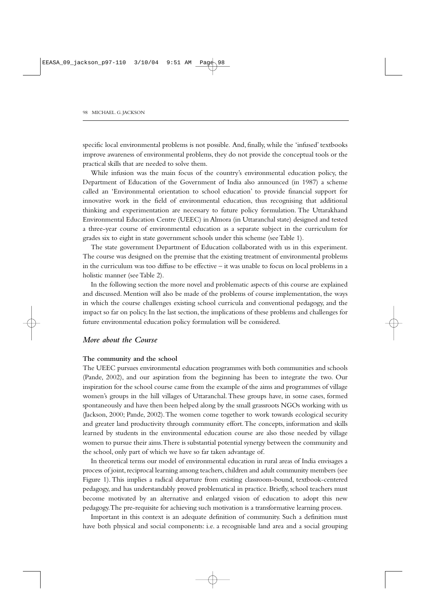specific local environmental problems is not possible. And, finally, while the 'infused' textbooks improve awareness of environmental problems, they do not provide the conceptual tools or the practical skills that are needed to solve them.

While infusion was the main focus of the country's environmental education policy, the Department of Education of the Government of India also announced (in 1987) a scheme called an 'Environmental orientation to school education' to provide financial support for innovative work in the field of environmental education, thus recognising that additional thinking and experimentation are necessary to future policy formulation. The Uttarakhand Environmental Education Centre (UEEC) in Almora (in Uttaranchal state) designed and tested a three-year course of environmental education as a separate subject in the curriculum for grades six to eight in state government schools under this scheme (see Table 1).

The state government Department of Education collaborated with us in this experiment. The course was designed on the premise that the existing treatment of environmental problems in the curriculum was too diffuse to be effective – it was unable to focus on local problems in a holistic manner (see Table 2).

In the following section the more novel and problematic aspects of this course are explained and discussed. Mention will also be made of the problems of course implementation, the ways in which the course challenges existing school curricula and conventional pedagogy, and the impact so far on policy. In the last section, the implications of these problems and challenges for future environmental education policy formulation will be considered.

## *More about the Course*

## **The community and the school**

The UEEC pursues environmental education programmes with both communities and schools (Pande, 2002), and our aspiration from the beginning has been to integrate the two. Our inspiration for the school course came from the example of the aims and programmes of village women's groups in the hill villages of Uttaranchal.These groups have, in some cases, formed spontaneously and have then been helped along by the small grassroots NGOs working with us (Jackson, 2000; Pande, 2002).The women come together to work towards ecological security and greater land productivity through community effort.The concepts, information and skills learned by students in the environmental education course are also those needed by village women to pursue their aims.There is substantial potential synergy between the community and the school, only part of which we have so far taken advantage of.

In theoretical terms our model of environmental education in rural areas of India envisages a process of joint, reciprocal learning among teachers, children and adult community members (see Figure 1). This implies a radical departure from existing classroom-bound, textbook-centered pedagogy, and has understandably proved problematical in practice. Briefly, school teachers must become motivated by an alternative and enlarged vision of education to adopt this new pedagogy.The pre-requisite for achieving such motivation is a transformative learning process.

Important in this context is an adequate definition of community. Such a definition must have both physical and social components: i.e. a recognisable land area and a social grouping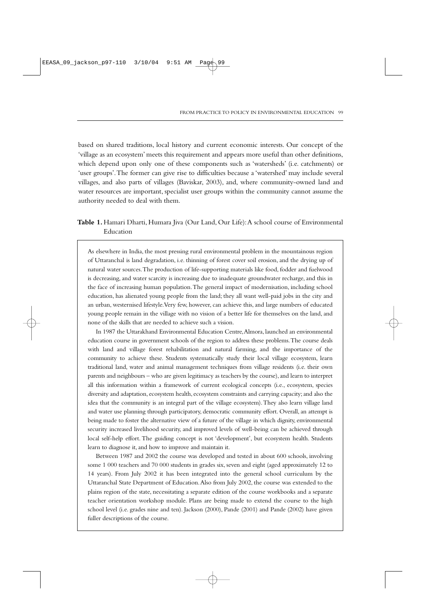based on shared traditions, local history and current economic interests. Our concept of the 'village as an ecosystem' meets this requirement and appears more useful than other definitions, which depend upon only one of these components such as 'watersheds' (i.e. catchments) or 'user groups'.The former can give rise to difficulties because a 'watershed' may include several villages, and also parts of villages (Baviskar, 2003), and, where community-owned land and water resources are important, specialist user groups within the community cannot assume the authority needed to deal with them.

# **Table 1.**Hamari Dharti, Humara Jiva (Our Land, Our Life):A school course of Environmental Education

As elsewhere in India, the most pressing rural environmental problem in the mountainous region of Uttaranchal is land degradation, i.e. thinning of forest cover soil erosion, and the drying up of natural water sources.The production of life-supporting materials like food, fodder and fuelwood is decreasing, and water scarcity is increasing due to inadequate groundwater recharge, and this in the face of increasing human population.The general impact of modernisation, including school education, has alienated young people from the land; they all want well-paid jobs in the city and an urban, westernised lifestyle.Very few, however, can achieve this, and large numbers of educated young people remain in the village with no vision of a better life for themselves on the land, and none of the skills that are needed to achieve such a vision.

In 1987 the Uttarakhand Environmental Education Centre,Almora, launched an environmental education course in government schools of the region to address these problems.The course deals with land and village forest rehabilitation and natural farming, and the importance of the community to achieve these. Students systematically study their local village ecosystem, learn traditional land, water and animal management techniques from village residents (i.e. their own parents and neighbours – who are given legitimacy as teachers by the course), and learn to interpret all this information within a framework of current ecological concepts (i.e., ecosystem, species diversity and adaptation, ecosystem health, ecosystem constraints and carrying capacity; and also the idea that the community is an integral part of the village ecosystem).They also learn village land and water use planning through participatory, democratic community effort. Overall, an attempt is being made to foster the alternative view of a future of the village in which dignity, environmental security increased livelihood security, and improved levels of well-being can be achieved through local self-help effort. The guiding concept is not 'development', but ecosystem health. Students learn to diagnose it, and how to improve and maintain it.

Between 1987 and 2002 the course was developed and tested in about 600 schools, involving some 1 000 teachers and 70 000 students in grades six, seven and eight (aged approximately 12 to 14 years). From July 2002 it has been integrated into the general school curriculum by the Uttaranchal State Department of Education.Also from July 2002, the course was extended to the plains region of the state, necessitating a separate edition of the course workbooks and a separate teacher orientation workshop module. Plans are being made to extend the course to the high school level (i.e. grades nine and ten). Jackson (2000), Pande (2001) and Pande (2002) have given fuller descriptions of the course.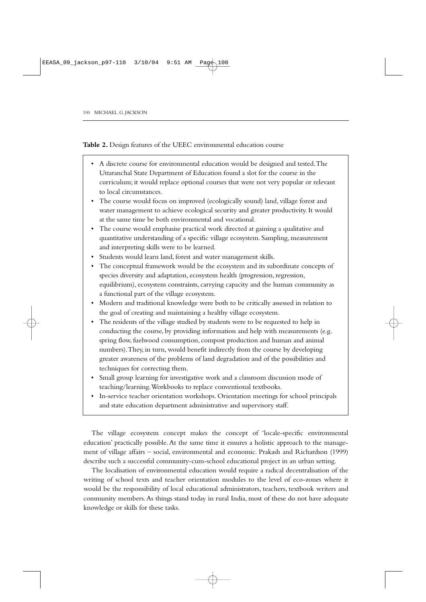**Table 2.** Design features of the UEEC environmental education course

- A discrete course for environmental education would be designed and tested.The Uttaranchal State Department of Education found a slot for the course in the curriculum; it would replace optional courses that were not very popular or relevant to local circumstances.
- The course would focus on improved (ecologically sound) land, village forest and water management to achieve ecological security and greater productivity. It would at the same time be both environmental and vocational.
- The course would emphasise practical work directed at gaining a qualitative and quantitative understanding of a specific village ecosystem. Sampling, measurement and interpreting skills were to be learned.
- Students would learn land, forest and water management skills.
- The conceptual framework would be the ecosystem and its subordinate concepts of species diversity and adaptation, ecosystem health (progression, regression, equilibrium), ecosystem constraints, carrying capacity and the human community as a functional part of the village ecosystem.
- Modern and traditional knowledge were both to be critically assessed in relation to the goal of creating and maintaining a healthy village ecosystem.
- The residents of the village studied by students were to be requested to help in conducting the course, by providing information and help with measurements (e.g. spring flow, fuelwood consumption, compost production and human and animal numbers).They, in turn, would benefit indirectly from the course by developing greater awareness of the problems of land degradation and of the possibilities and techniques for correcting them.
- Small group learning for investigative work and a classroom discussion mode of teaching/learning.Workbooks to replace conventional textbooks.
- In-service teacher orientation workshops. Orientation meetings for school principals and state education department administrative and supervisory staff.

The village ecosystem concept makes the concept of 'locale-specific environmental education' practically possible. At the same time it ensures a holistic approach to the management of village affairs – social, environmental and economic. Prakash and Richardson (1999) describe such a successful community-cum-school educational project in an urban setting.

The localisation of environmental education would require a radical decentralisation of the writing of school texts and teacher orientation modules to the level of eco-zones where it would be the responsibility of local educational administrators, teachers, textbook writers and community members.As things stand today in rural India, most of these do not have adequate knowledge or skills for these tasks.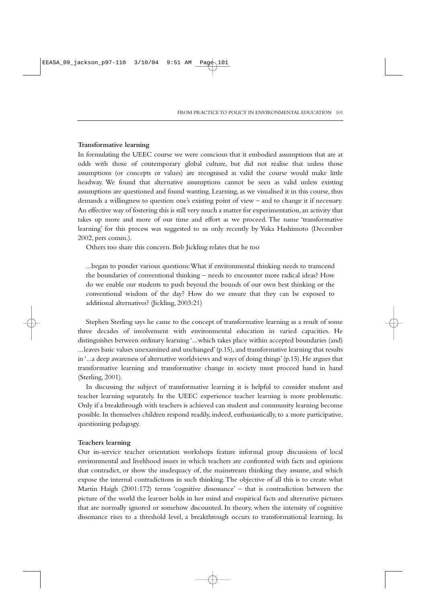## **Transformative learning**

In formulating the UEEC course we were conscious that it embodied assumptions that are at odds with those of contemporary global culture, but did not realise that unless those assumptions (or concepts or values) are recognised as valid the course would make little headway. We found that alternative assumptions cannot be seen as valid unless existing assumptions are questioned and found wanting. Learning, as we visualised it in this course, thus demands a willingness to question one's existing point of view – and to change it if necessary. An effective way of fostering this is still very much a matter for experimentation, an activity that takes up more and more of our time and effort as we proceed. The name 'transformative learning' for this process was suggested to us only recently by Yuka Hashimoto (December 2002, pers comm.).

Others too share this concern. Bob Jickling relates that he too

...began to ponder various questions:What if environmental thinking needs to transcend the boundaries of conventional thinking – needs to encounter more radical ideas? How do we enable our students to push beyond the bounds of our own best thinking or the conventional wisdom of the day? How do we ensure that they can be exposed to additional alternatives? (Jickling, 2003:21)

Stephen Sterling says he came to the concept of transformative learning as a result of some three decades of involvement with environmental education in varied capacities. He distinguishes between ordinary learning '...which takes place within accepted boundaries (and) ...leaves basic values unexamined and unchanged' (p.15), and transformative learning that results in '...a deep awareness of alternative worldviews and ways of doing things' (p.15). He argues that transformative learning and transformative change in society must proceed hand in hand (Sterling, 2001).

In discussing the subject of transformative learning it is helpful to consider student and teacher learning separately. In the UEEC experience teacher learning is more problematic. Only if a breakthrough with teachers is achieved can student and community learning become possible. In themselves children respond readily, indeed, enthusiastically, to a more participative, questioning pedagogy.

### **Teachers learning**

Our in-service teacher orientation workshops feature informal group discussions of local environmental and livelihood issues in which teachers are confronted with facts and opinions that contradict, or show the inadequacy of, the mainstream thinking they assume, and which expose the internal contradictions in such thinking.The objective of all this is to create what Martin Haigh (2001:172) terms 'cognitive dissonance' – that is contradiction between the picture of the world the learner holds in her mind and empirical facts and alternative pictures that are normally ignored or somehow discounted. In theory, when the intensity of cognitive dissonance rises to a threshold level, a breakthrough occurs to transformational learning. In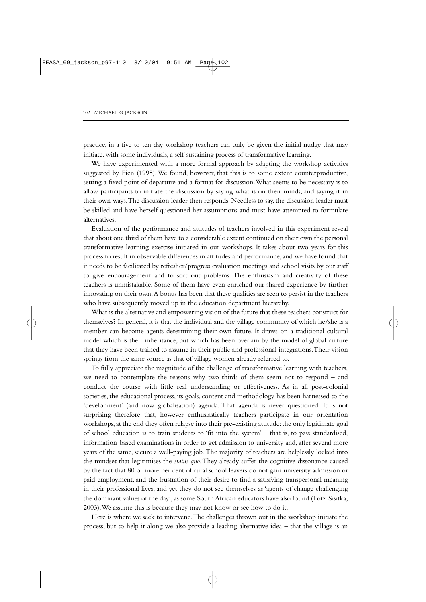practice, in a five to ten day workshop teachers can only be given the initial nudge that may initiate, with some individuals, a self-sustaining process of transformative learning.

We have experimented with a more formal approach by adapting the workshop activities suggested by Fien (1995).We found, however, that this is to some extent counterproductive, setting a fixed point of departure and a format for discussion.What seems to be necessary is to allow participants to initiate the discussion by saying what is on their minds, and saying it in their own ways.The discussion leader then responds. Needless to say, the discussion leader must be skilled and have herself questioned her assumptions and must have attempted to formulate alternatives.

Evaluation of the performance and attitudes of teachers involved in this experiment reveal that about one third of them have to a considerable extent continued on their own the personal transformative learning exercise initiated in our workshops. It takes about two years for this process to result in observable differences in attitudes and performance, and we have found that it needs to be facilitated by refresher/progress evaluation meetings and school visits by our staff to give encouragement and to sort out problems. The enthusiasm and creativity of these teachers is unmistakable. Some of them have even enriched our shared experience by further innovating on their own.A bonus has been that these qualities are seen to persist in the teachers who have subsequently moved up in the education department hierarchy.

What is the alternative and empowering vision of the future that these teachers construct for themselves? In general, it is that the individual and the village community of which he/she is a member can become agents determining their own future. It draws on a traditional cultural model which is their inheritance, but which has been overlain by the model of global culture that they have been trained to assume in their public and professional integrations.Their vision springs from the same source as that of village women already referred to.

To fully appreciate the magnitude of the challenge of transformative learning with teachers, we need to contemplate the reasons why two-thirds of them seem not to respond – and conduct the course with little real understanding or effectiveness. As in all post-colonial societies, the educational process, its goals, content and methodology has been harnessed to the 'development' (and now globalisation) agenda. That agenda is never questioned. It is not surprising therefore that, however enthusiastically teachers participate in our orientation workshops, at the end they often relapse into their pre-existing attitude: the only legitimate goal of school education is to train students to 'fit into the system' – that is, to pass standardised, information-based examinations in order to get admission to university and, after several more years of the same, secure a well-paying job. The majority of teachers are helplessly locked into the mindset that legitimises the *status quo*.They already suffer the cognitive dissonance caused by the fact that 80 or more per cent of rural school leavers do not gain university admission or paid employment, and the frustration of their desire to find a satisfying transpersonal meaning in their professional lives, and yet they do not see themselves as 'agents of change challenging the dominant values of the day', as some South African educators have also found (Lotz-Sisitka, 2003).We assume this is because they may not know or see how to do it.

Here is where we seek to intervene.The challenges thrown out in the workshop initiate the process, but to help it along we also provide a leading alternative idea – that the village is an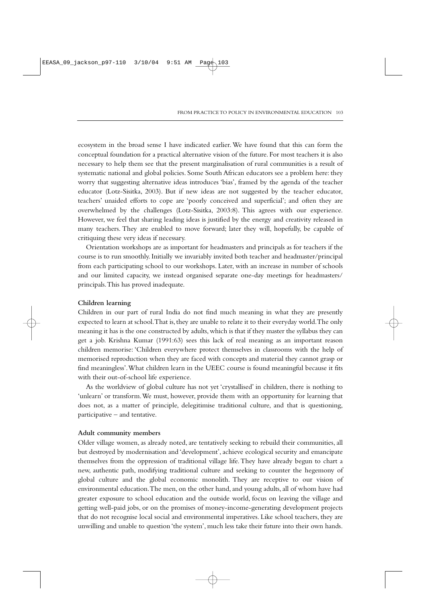ecosystem in the broad sense I have indicated earlier. We have found that this can form the conceptual foundation for a practical alternative vision of the future. For most teachers it is also necessary to help them see that the present marginalisation of rural communities is a result of systematic national and global policies. Some South African educators see a problem here: they worry that suggesting alternative ideas introduces 'bias', framed by the agenda of the teacher educator (Lotz-Sisitka, 2003). But if new ideas are not suggested by the teacher educator, teachers' unaided efforts to cope are 'poorly conceived and superficial'; and often they are overwhelmed by the challenges (Lotz-Sisitka, 2003:8). This agrees with our experience. However, we feel that sharing leading ideas is justified by the energy and creativity released in many teachers. They are enabled to move forward; later they will, hopefully, be capable of critiquing these very ideas if necessary.

Orientation workshops are as important for headmasters and principals as for teachers if the course is to run smoothly. Initially we invariably invited both teacher and headmaster/principal from each participating school to our workshops. Later, with an increase in number of schools and our limited capacity, we instead organised separate one-day meetings for headmasters/ principals.This has proved inadequate.

## **Children learning**

Children in our part of rural India do not find much meaning in what they are presently expected to learn at school.That is, they are unable to relate it to their everyday world.The only meaning it has is the one constructed by adults, which is that if they master the syllabus they can get a job. Krishna Kumar (1991:63) sees this lack of real meaning as an important reason children memorise: 'Children everywhere protect themselves in classrooms with the help of memorised reproduction when they are faced with concepts and material they cannot grasp or find meaningless'.What children learn in the UEEC course is found meaningful because it fits with their out-of-school life experience.

As the worldview of global culture has not yet 'crystallised' in children, there is nothing to 'unlearn' or transform.We must, however, provide them with an opportunity for learning that does not, as a matter of principle, delegitimise traditional culture, and that is questioning, participative – and tentative.

#### **Adult community members**

Older village women, as already noted, are tentatively seeking to rebuild their communities, all but destroyed by modernisation and 'development', achieve ecological security and emancipate themselves from the oppression of traditional village life.They have already begun to chart a new, authentic path, modifying traditional culture and seeking to counter the hegemony of global culture and the global economic monolith. They are receptive to our vision of environmental education.The men, on the other hand, and young adults, all of whom have had greater exposure to school education and the outside world, focus on leaving the village and getting well-paid jobs, or on the promises of money-income-generating development projects that do not recognise local social and environmental imperatives. Like school teachers, they are unwilling and unable to question 'the system', much less take their future into their own hands.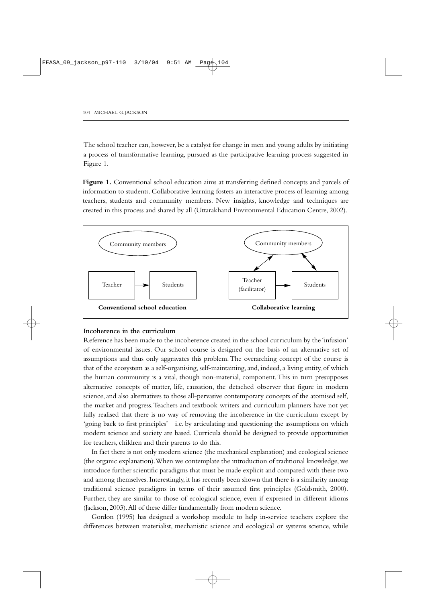The school teacher can, however, be a catalyst for change in men and young adults by initiating a process of transformative learning, pursued as the participative learning process suggested in Figure 1.

**Figure 1.** Conventional school education aims at transferring defined concepts and parcels of information to students. Collaborative learning fosters an interactive process of learning among teachers, students and community members. New insights, knowledge and techniques are created in this process and shared by all (Uttarakhand Environmental Education Centre, 2002).



## **Incoherence in the curriculum**

Reference has been made to the incoherence created in the school curriculum by the 'infusion' of environmental issues. Our school course is designed on the basis of an alternative set of assumptions and thus only aggravates this problem.The overarching concept of the course is that of the ecosystem as a self-organising, self-maintaining, and, indeed, a living entity, of which the human community is a vital, though non-material, component.This in turn presupposes alternative concepts of matter, life, causation, the detached observer that figure in modern science, and also alternatives to those all-pervasive contemporary concepts of the atomised self, the market and progress.Teachers and textbook writers and curriculum planners have not yet fully realised that there is no way of removing the incoherence in the curriculum except by 'going back to first principles' – i.e. by articulating and questioning the assumptions on which modern science and society are based. Curricula should be designed to provide opportunities for teachers, children and their parents to do this.

In fact there is not only modern science (the mechanical explanation) and ecological science (the organic explanation).When we contemplate the introduction of traditional knowledge, we introduce further scientific paradigms that must be made explicit and compared with these two and among themselves. Interestingly, it has recently been shown that there is a similarity among traditional science paradigms in terms of their assumed first principles (Goldsmith, 2000). Further, they are similar to those of ecological science, even if expressed in different idioms (Jackson, 2003).All of these differ fundamentally from modern science.

Gordon (1995) has designed a workshop module to help in-service teachers explore the differences between materialist, mechanistic science and ecological or systems science, while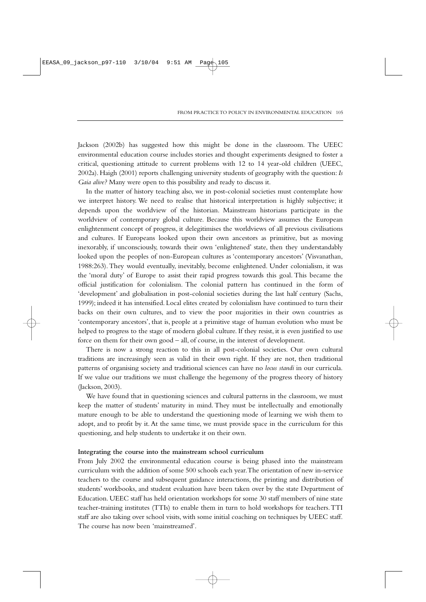Jackson (2002b) has suggested how this might be done in the classroom. The UEEC environmental education course includes stories and thought experiments designed to foster a critical, questioning attitude to current problems with 12 to 14 year-old children (UEEC, 2002a). Haigh (2001) reports challenging university students of geography with the question:*Is Gaia alive?* Many were open to this possibility and ready to discuss it.

In the matter of history teaching also, we in post-colonial societies must contemplate how we interpret history. We need to realise that historical interpretation is highly subjective; it depends upon the worldview of the historian. Mainstream historians participate in the worldview of contemporary global culture. Because this worldview assumes the European enlightenment concept of progress, it delegitimises the worldviews of all previous civilisations and cultures. If Europeans looked upon their own ancestors as primitive, but as moving inexorably, if unconsciously, towards their own 'enlightened' state, then they understandably looked upon the peoples of non-European cultures as 'contemporary ancestors' (Visvanathan, 1988:263). They would eventually, inevitably, become enlightened. Under colonialism, it was the 'moral duty' of Europe to assist their rapid progress towards this goal. This became the official justification for colonialism. The colonial pattern has continued in the form of 'development' and globalisation in post-colonial societies during the last half century (Sachs, 1999); indeed it has intensified. Local elites created by colonialism have continued to turn their backs on their own cultures, and to view the poor majorities in their own countries as 'contemporary ancestors', that is, people at a primitive stage of human evolution who must be helped to progress to the stage of modern global culture. If they resist, it is even justified to use force on them for their own good – all, of course, in the interest of development.

There is now a strong reaction to this in all post-colonial societies. Our own cultural traditions are increasingly seen as valid in their own right. If they are not, then traditional patterns of organising society and traditional sciences can have no *locus standi* in our curricula. If we value our traditions we must challenge the hegemony of the progress theory of history (Jackson, 2003).

We have found that in questioning sciences and cultural patterns in the classroom, we must keep the matter of students' maturity in mind. They must be intellectually and emotionally mature enough to be able to understand the questioning mode of learning we wish them to adopt, and to profit by it. At the same time, we must provide space in the curriculum for this questioning, and help students to undertake it on their own.

#### **Integrating the course into the mainstream school curriculum**

From July 2002 the environmental education course is being phased into the mainstream curriculum with the addition of some 500 schools each year.The orientation of new in-service teachers to the course and subsequent guidance interactions, the printing and distribution of students' workbooks, and student evaluation have been taken over by the state Department of Education. UEEC staff has held orientation workshops for some 30 staff members of nine state teacher-training institutes (TTIs) to enable them in turn to hold workshops for teachers.TTI staff are also taking over school visits, with some initial coaching on techniques by UEEC staff. The course has now been 'mainstreamed'.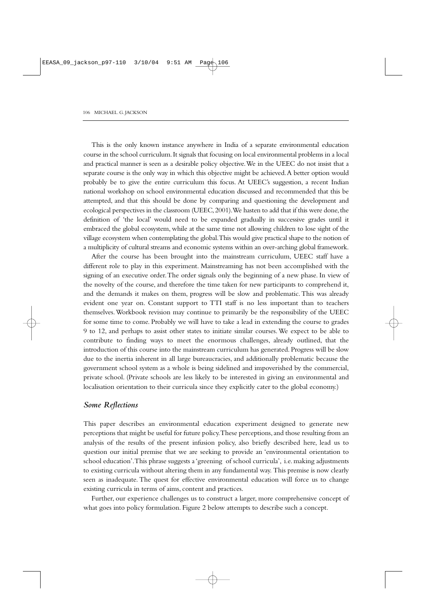This is the only known instance anywhere in India of a separate environmental education course in the school curriculum.It signals that focusing on local environmental problems in a local and practical manner is seen as a desirable policy objective.We in the UEEC do not insist that a separate course is the only way in which this objective might be achieved.A better option would probably be to give the entire curriculum this focus. At UEEC's suggestion, a recent Indian national workshop on school environmental education discussed and recommended that this be attempted, and that this should be done by comparing and questioning the development and ecological perspectives in the classroom (UEEC, 2001). We hasten to add that if this were done, the definition of 'the local' would need to be expanded gradually in successive grades until it embraced the global ecosystem, while at the same time not allowing children to lose sight of the village ecosystem when contemplating the global.This would give practical shape to the notion of a multiplicity of cultural streams and economic systems within an over-arching global framework.

After the course has been brought into the mainstream curriculum, UEEC staff have a different role to play in this experiment. Mainstreaming has not been accomplished with the signing of an executive order.The order signals only the beginning of a new phase. In view of the novelty of the course, and therefore the time taken for new participants to comprehend it, and the demands it makes on them, progress will be slow and problematic. This was already evident one year on. Constant support to TTI staff is no less important than to teachers themselves.Workbook revision may continue to primarily be the responsibility of the UEEC for some time to come. Probably we will have to take a lead in extending the course to grades 9 to 12, and perhaps to assist other states to initiate similar courses. We expect to be able to contribute to finding ways to meet the enormous challenges, already outlined, that the introduction of this course into the mainstream curriculum has generated. Progress will be slow due to the inertia inherent in all large bureaucracies, and additionally problematic because the government school system as a whole is being sidelined and impoverished by the commercial, private school. (Private schools are less likely to be interested in giving an environmental and localisation orientation to their curricula since they explicitly cater to the global economy.)

## *Some Reflections*

This paper describes an environmental education experiment designed to generate new perceptions that might be useful for future policy.These perceptions,and those resulting from an analysis of the results of the present infusion policy, also briefly described here, lead us to question our initial premise that we are seeking to provide an 'environmental orientation to school education'.This phrase suggests a 'greening of school curricula', i.e. making adjustments to existing curricula without altering them in any fundamental way. This premise is now clearly seen as inadequate. The quest for effective environmental education will force us to change existing curricula in terms of aims, content and practices.

Further, our experience challenges us to construct a larger, more comprehensive concept of what goes into policy formulation. Figure 2 below attempts to describe such a concept.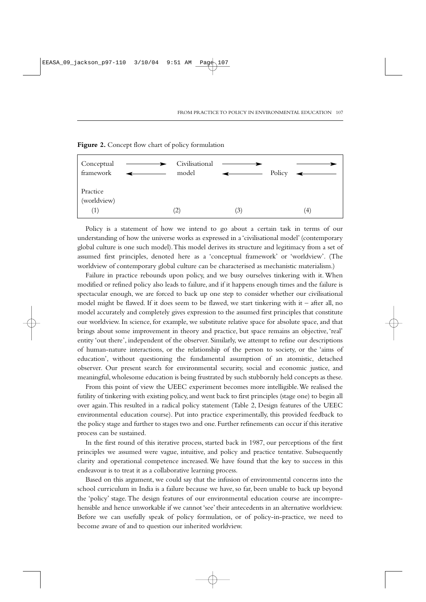

## **Figure 2.** Concept flow chart of policy formulation

Policy is a statement of how we intend to go about a certain task in terms of our understanding of how the universe works as expressed in a 'civilisational model' (contemporary global culture is one such model).This model derives its structure and legitimacy from a set of assumed first principles, denoted here as a 'conceptual framework' or 'worldview'. (The worldview of contemporary global culture can be characterised as mechanistic materialism.)

Failure in practice rebounds upon policy, and we busy ourselves tinkering with it. When modified or refined policy also leads to failure, and if it happens enough times and the failure is spectacular enough, we are forced to back up one step to consider whether our civilisational model might be flawed. If it does seem to be flawed, we start tinkering with it – after all, no model accurately and completely gives expression to the assumed first principles that constitute our worldview. In science, for example, we substitute relative space for absolute space, and that brings about some improvement in theory and practice, but space remains an objective, 'real' entity 'out there', independent of the observer. Similarly, we attempt to refine our descriptions of human-nature interactions, or the relationship of the person to society, or the 'aims of education', without questioning the fundamental assumption of an atomistic, detached observer. Our present search for environmental security, social and economic justice, and meaningful, wholesome education is being frustrated by such stubbornly held concepts as these.

From this point of view the UEEC experiment becomes more intelligible.We realised the futility of tinkering with existing policy, and went back to first principles (stage one) to begin all over again.This resulted in a radical policy statement (Table 2, Design features of the UEEC environmental education course). Put into practice experimentally, this provided feedback to the policy stage and further to stages two and one. Further refinements can occur if this iterative process can be sustained.

In the first round of this iterative process, started back in 1987, our perceptions of the first principles we assumed were vague, intuitive, and policy and practice tentative. Subsequently clarity and operational competence increased. We have found that the key to success in this endeavour is to treat it as a collaborative learning process.

Based on this argument, we could say that the infusion of environmental concerns into the school curriculum in India is a failure because we have, so far, been unable to back up beyond the 'policy' stage. The design features of our environmental education course are incomprehensible and hence unworkable if we cannot 'see' their antecedents in an alternative worldview. Before we can usefully speak of policy formulation, or of policy-in-practice, we need to become aware of and to question our inherited worldview.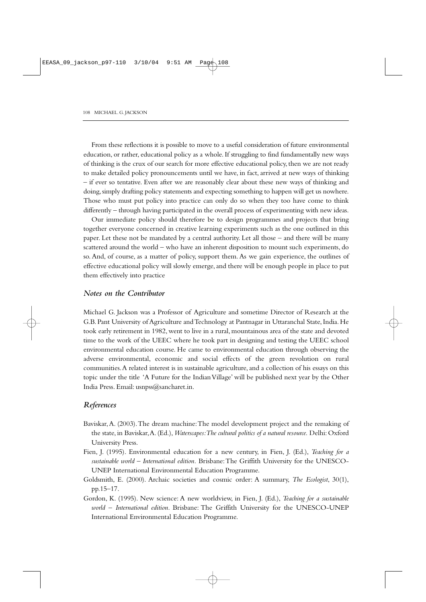From these reflections it is possible to move to a useful consideration of future environmental education, or rather, educational policy as a whole. If struggling to find fundamentally new ways of thinking is the crux of our search for more effective educational policy, then we are not ready to make detailed policy pronouncements until we have, in fact, arrived at new ways of thinking – if ever so tentative. Even after we are reasonably clear about these new ways of thinking and doing, simply drafting policy statements and expecting something to happen will get us nowhere. Those who must put policy into practice can only do so when they too have come to think differently – through having participated in the overall process of experimenting with new ideas.

Our immediate policy should therefore be to design programmes and projects that bring together everyone concerned in creative learning experiments such as the one outlined in this paper. Let these not be mandated by a central authority. Let all those – and there will be many scattered around the world – who have an inherent disposition to mount such experiments, do so. And, of course, as a matter of policy, support them. As we gain experience, the outlines of effective educational policy will slowly emerge, and there will be enough people in place to put them effectively into practice

## *Notes on the Contributor*

Michael G. Jackson was a Professor of Agriculture and sometime Director of Research at the G.B. Pant University of Agriculture and Technology at Pantnagar in Uttaranchal State, India. He took early retirement in 1982, went to live in a rural, mountainous area of the state and devoted time to the work of the UEEC where he took part in designing and testing the UEEC school environmental education course. He came to environmental education through observing the adverse environmental, economic and social effects of the green revolution on rural communities.A related interest is in sustainable agriculture, and a collection of his essays on this topic under the title 'A Future for the Indian Village' will be published next year by the Other India Press. Email: usnpss@sancharet.in.

## *References*

- Baviskar,A. (2003).The dream machine:The model development project and the remaking of the state, in Baviskar,A. (Ed.),*Waterscapes:The cultural politics of a natural resource.* Delhi: Oxford University Press.
- Fien, J. (1995). Environmental education for a new century, in Fien, J. (Ed.), *Teaching for a sustainable world – International edition.* Brisbane:The Griffith University for the UNESCO-UNEP International Environmental Education Programme.
- Goldsmith, E. (2000). Archaic societies and cosmic order: A summary, *The Ecologist*, 30(1), pp.15–17.
- Gordon, K. (1995). New science: A new worldview, in Fien, J. (Ed.), *Teaching for a sustainable world – International edition.* Brisbane: The Griffith University for the UNESCO-UNEP International Environmental Education Programme.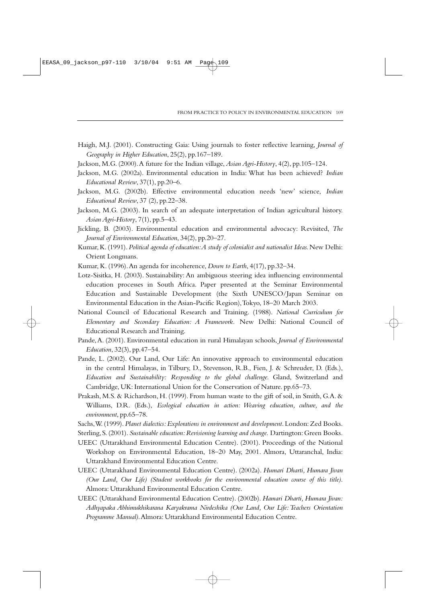- Haigh, M.J. (2001). Constructing Gaia: Using journals to foster reflective learning, *Journal of Geography in Higher Education*, 25(2), pp.167–189.
- Jackson, M.G. (2000).A future for the Indian village,*Asian Agri-History*, 4(2), pp.105–124.
- Jackson, M.G. (2002a). Environmental education in India: What has been achieved? *Indian Educational Review*, 37(1), pp.20–6.
- Jackson, M.G. (2002b). Effective environmental education needs 'new' science, *Indian Educational Review*, 37 (2), pp.22–38.
- Jackson, M.G. (2003). In search of an adequate interpretation of Indian agricultural history. *Asian Agri-History*, 7(1), pp.5–43.
- Jickling, B. (2003). Environmental education and environmental advocacy: Revisited, *The Journal of Environmental Education*, 34(2), pp.20–27.
- Kumar,K.(1991).*Political agenda of education:A study of colonialist and nationalist Ideas.* New Delhi: Orient Longmans.
- Kumar, K. (1996).An agenda for incoherence, *Down to Earth*, 4(17), pp.32–34.
- Lotz-Sisitka, H. (2003). Sustainability: An ambiguous steering idea influencing environmental education processes in South Africa. Paper presented at the Seminar Environmental Education and Sustainable Development (the Sixth UNESCO/Japan Seminar on Environmental Education in the Asian-Pacific Region),Tokyo, 18–20 March 2003.
- National Council of Educational Research and Training. (1988). *National Curriculum for Elementary and Secondary Education: A Framework.* New Delhi: National Council of Educational Research and Training.
- Pande,A. (2001). Environmental education in rural Himalayan schools, *Journal of Environmental Education*, 32(3), pp.47–54.
- Pande, L. (2002). Our Land, Our Life: An innovative approach to environmental education in the central Himalayas, in Tilbury, D., Stevenson, R.B., Fien, J. & Schreuder, D. (Eds.), *Education and Sustainability: Responding to the global challenge.* Gland, Switzerland and Cambridge, UK: International Union for the Conservation of Nature. pp.65–73.
- Prakash, M.S. & Richardson, H. (1999). From human waste to the gift of soil, in Smith, G.A. & Williams, D.R. (Eds.), *Ecological education in action: Weaving education, culture, and the environment*, pp.65–78.
- Sachs,W. (1999). *Planet dialectics: Explorations in environment and development*. London: Zed Books.
- Sterling,S.(2001). *Sustainable education:Revisioning learning and change.* Dartington:Green Books.

UEEC (Uttarakhand Environmental Education Centre). (2001). Proceedings of the National Workshop on Environmental Education, 18–20 May, 2001. Almora, Uttaranchal, India: Uttarakhand Environmental Education Centre.

- UEEC (Uttarakhand Environmental Education Centre). (2002a). *Humari Dharti, Humara Jivan (Our Land, Our Life) (Student workbooks for the environmental education course of this title)*. Almora: Uttarakhand Environmental Education Centre.
- UEEC (Uttarakhand Environmental Education Centre). (2002b). *Hamari Dharti, Humara Jivan: Adhyapaka Abhimukhikarana Karyakrama Nirdeshika (Our Land, Our Life:Teachers Orientation Programme Manual)*.Almora: Uttarakhand Environmental Education Centre.